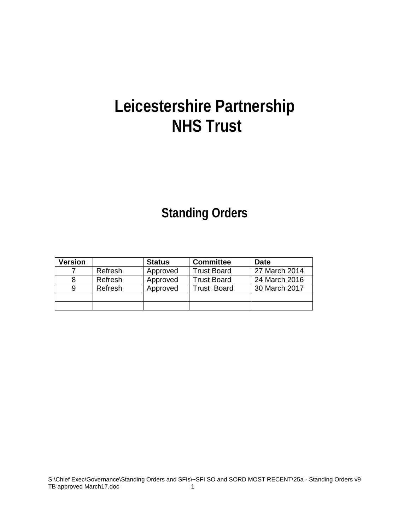# **Leicestershire Partnership NHS Trust**

# **Standing Orders**

| Version |         | <b>Status</b> | <b>Committee</b>   | Date          |
|---------|---------|---------------|--------------------|---------------|
|         | Refresh | Approved      | <b>Trust Board</b> | 27 March 2014 |
|         | Refresh | Approved      | <b>Trust Board</b> | 24 March 2016 |
|         | Refresh | Approved      | <b>Trust Board</b> | 30 March 2017 |
|         |         |               |                    |               |
|         |         |               |                    |               |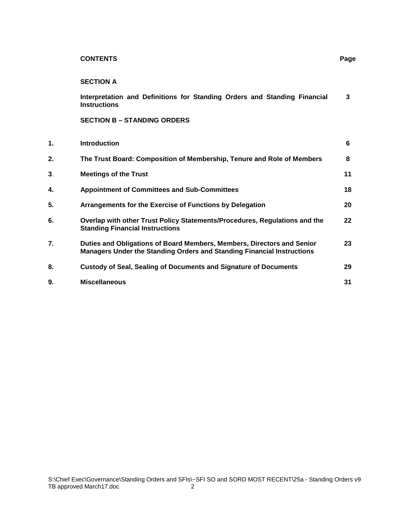# **CONTENTS Page**

# **SECTION A**

|    | Interpretation and Definitions for Standing Orders and Standing Financial<br><b>Instructions</b>                                                        | 3  |
|----|---------------------------------------------------------------------------------------------------------------------------------------------------------|----|
|    | <b>SECTION B - STANDING ORDERS</b>                                                                                                                      |    |
| 1. | <b>Introduction</b>                                                                                                                                     | 6  |
| 2. | The Trust Board: Composition of Membership, Tenure and Role of Members                                                                                  | 8  |
| 3. | <b>Meetings of the Trust</b>                                                                                                                            | 11 |
| 4. | <b>Appointment of Committees and Sub-Committees</b>                                                                                                     | 18 |
| 5. | Arrangements for the Exercise of Functions by Delegation                                                                                                | 20 |
| 6. | Overlap with other Trust Policy Statements/Procedures, Regulations and the<br><b>Standing Financial Instructions</b>                                    | 22 |
| 7. | Duties and Obligations of Board Members, Members, Directors and Senior<br><b>Managers Under the Standing Orders and Standing Financial Instructions</b> | 23 |
| 8. | <b>Custody of Seal, Sealing of Documents and Signature of Documents</b>                                                                                 | 29 |
| 9. | <b>Miscellaneous</b>                                                                                                                                    | 31 |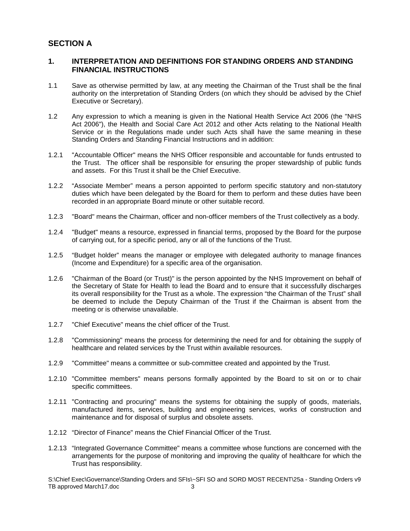# **SECTION A**

# **1. INTERPRETATION AND DEFINITIONS FOR STANDING ORDERS AND STANDING FINANCIAL INSTRUCTIONS**

- 1.1 Save as otherwise permitted by law, at any meeting the Chairman of the Trust shall be the final authority on the interpretation of Standing Orders (on which they should be advised by the Chief Executive or Secretary).
- 1.2 Any expression to which a meaning is given in the National Health Service Act 2006 (the "NHS Act 2006"), the Health and Social Care Act 2012 and other Acts relating to the National Health Service or in the Regulations made under such Acts shall have the same meaning in these Standing Orders and Standing Financial Instructions and in addition:
- 1.2.1 "Accountable Officer" means the NHS Officer responsible and accountable for funds entrusted to the Trust. The officer shall be responsible for ensuring the proper stewardship of public funds and assets. For this Trust it shall be the Chief Executive.
- 1.2.2 "Associate Member" means a person appointed to perform specific statutory and non-statutory duties which have been delegated by the Board for them to perform and these duties have been recorded in an appropriate Board minute or other suitable record.
- 1.2.3 "Board" means the Chairman, officer and non-officer members of the Trust collectively as a body.
- 1.2.4 "Budget" means a resource, expressed in financial terms, proposed by the Board for the purpose of carrying out, for a specific period, any or all of the functions of the Trust.
- 1.2.5 "Budget holder" means the manager or employee with delegated authority to manage finances (Income and Expenditure) for a specific area of the organisation.
- 1.2.6 "Chairman of the Board (or Trust)" is the person appointed by the NHS Improvement on behalf of the Secretary of State for Health to lead the Board and to ensure that it successfully discharges its overall responsibility for the Trust as a whole. The expression "the Chairman of the Trust" shall be deemed to include the Deputy Chairman of the Trust if the Chairman is absent from the meeting or is otherwise unavailable.
- 1.2.7 "Chief Executive" means the chief officer of the Trust.
- 1.2.8 "Commissioning" means the process for determining the need for and for obtaining the supply of healthcare and related services by the Trust within available resources.
- 1.2.9 "Committee" means a committee or sub-committee created and appointed by the Trust.
- 1.2.10 "Committee members" means persons formally appointed by the Board to sit on or to chair specific committees.
- 1.2.11 "Contracting and procuring" means the systems for obtaining the supply of goods, materials, manufactured items, services, building and engineering services, works of construction and maintenance and for disposal of surplus and obsolete assets.
- 1.2.12 "Director of Finance" means the Chief Financial Officer of the Trust.
- 1.2.13 "Integrated Governance Committee" means a committee whose functions are concerned with the arrangements for the purpose of monitoring and improving the quality of healthcare for which the Trust has responsibility.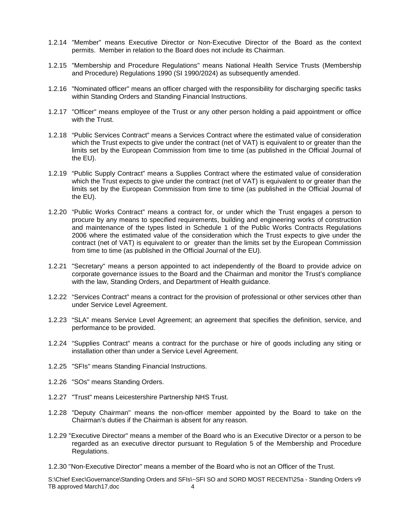- 1.2.14 "Member" means Executive Director or Non-Executive Director of the Board as the context permits. Member in relation to the Board does not include its Chairman.
- 1.2.15 "Membership and Procedure Regulations" means National Health Service Trusts (Membership and Procedure) Regulations 1990 (SI 1990/2024) as subsequently amended.
- 1.2.16 "Nominated officer" means an officer charged with the responsibility for discharging specific tasks within Standing Orders and Standing Financial Instructions.
- 1.2.17 "Officer" means employee of the Trust or any other person holding a paid appointment or office with the Trust.
- 1.2.18 "Public Services Contract" means a Services Contract where the estimated value of consideration which the Trust expects to give under the contract (net of VAT) is equivalent to or greater than the limits set by the European Commission from time to time (as published in the Official Journal of the EU).
- 1.2.19 "Public Supply Contract" means a Supplies Contract where the estimated value of consideration which the Trust expects to give under the contract (net of VAT) is equivalent to or greater than the limits set by the European Commission from time to time (as published in the Official Journal of the EU).
- 1.2.20 "Public Works Contract" means a contract for, or under which the Trust engages a person to procure by any means to specified requirements, building and engineering works of construction and maintenance of the types listed in Schedule 1 of the Public Works Contracts Regulations 2006 where the estimated value of the consideration which the Trust expects to give under the contract (net of VAT) is equivalent to or greater than the limits set by the European Commission from time to time (as published in the Official Journal of the EU).
- 1.2.21 "Secretary" means a person appointed to act independently of the Board to provide advice on corporate governance issues to the Board and the Chairman and monitor the Trust's compliance with the law, Standing Orders, and Department of Health guidance.
- 1.2.22 "Services Contract" means a contract for the provision of professional or other services other than under Service Level Agreement.
- 1.2.23 "SLA" means Service Level Agreement; an agreement that specifies the definition, service, and performance to be provided.
- 1.2.24 "Supplies Contract" means a contract for the purchase or hire of goods including any siting or installation other than under a Service Level Agreement.
- 1.2.25 "SFIs" means Standing Financial Instructions.
- 1.2.26 "SOs" means Standing Orders.
- 1.2.27 "Trust" means Leicestershire Partnership NHS Trust.
- 1.2.28 "Deputy Chairman" means the non-officer member appointed by the Board to take on the Chairman's duties if the Chairman is absent for any reason.
- 1.2.29 "Executive Director" means a member of the Board who is an Executive Director or a person to be regarded as an executive director pursuant to Regulation 5 of the Membership and Procedure Regulations.
- 1.2.30 "Non-Executive Director" means a member of the Board who is not an Officer of the Trust.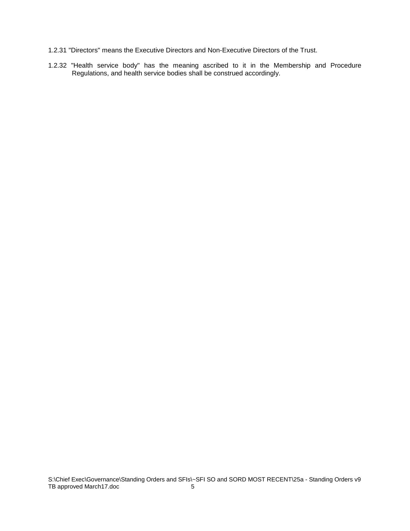- 1.2.31 "Directors" means the Executive Directors and Non-Executive Directors of the Trust.
- 1.2.32 "Health service body" has the meaning ascribed to it in the Membership and Procedure Regulations, and health service bodies shall be construed accordingly.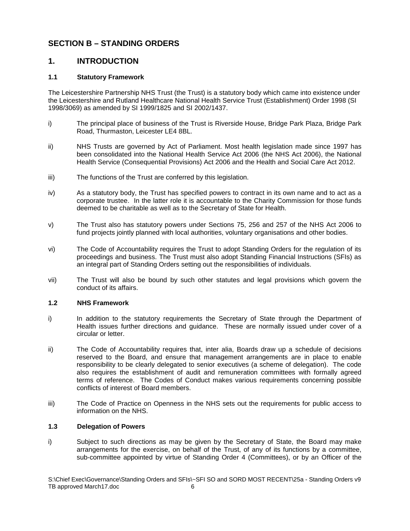# **SECTION B – STANDING ORDERS**

# **1. INTRODUCTION**

# **1.1 Statutory Framework**

The Leicestershire Partnership NHS Trust (the Trust) is a statutory body which came into existence under the Leicestershire and Rutland Healthcare National Health Service Trust (Establishment) Order 1998 (SI 1998/3069) as amended by SI 1999/1825 and SI 2002/1437.

- i) The principal place of business of the Trust is Riverside House, Bridge Park Plaza, Bridge Park Road, Thurmaston, Leicester LE4 8BL.
- ii) NHS Trusts are governed by Act of Parliament. Most health legislation made since 1997 has been consolidated into the National Health Service Act 2006 (the NHS Act 2006), the National Health Service (Consequential Provisions) Act 2006 and the Health and Social Care Act 2012.
- iii) The functions of the Trust are conferred by this legislation.
- iv) As a statutory body, the Trust has specified powers to contract in its own name and to act as a corporate trustee. In the latter role it is accountable to the Charity Commission for those funds deemed to be charitable as well as to the Secretary of State for Health.
- v) The Trust also has statutory powers under Sections 75, 256 and 257 of the NHS Act 2006 to fund projects jointly planned with local authorities, voluntary organisations and other bodies.
- vi) The Code of Accountability requires the Trust to adopt Standing Orders for the regulation of its proceedings and business. The Trust must also adopt Standing Financial Instructions (SFIs) as an integral part of Standing Orders setting out the responsibilities of individuals.
- vii) The Trust will also be bound by such other statutes and legal provisions which govern the conduct of its affairs.

# **1.2 NHS Framework**

- i) In addition to the statutory requirements the Secretary of State through the Department of Health issues further directions and guidance. These are normally issued under cover of a circular or letter.
- ii) The Code of Accountability requires that, inter alia, Boards draw up a schedule of decisions reserved to the Board, and ensure that management arrangements are in place to enable responsibility to be clearly delegated to senior executives (a scheme of delegation). The code also requires the establishment of audit and remuneration committees with formally agreed terms of reference. The Codes of Conduct makes various requirements concerning possible conflicts of interest of Board members.
- iii) The Code of Practice on Openness in the NHS sets out the requirements for public access to information on the NHS.

# **1.3 Delegation of Powers**

i) Subject to such directions as may be given by the Secretary of State, the Board may make arrangements for the exercise, on behalf of the Trust, of any of its functions by a committee, sub-committee appointed by virtue of Standing Order 4 (Committees), or by an Officer of the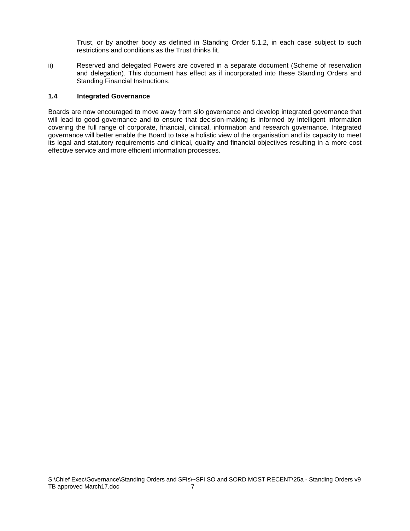Trust, or by another body as defined in Standing Order 5.1.2, in each case subject to such restrictions and conditions as the Trust thinks fit.

ii) Reserved and delegated Powers are covered in a separate document (Scheme of reservation and delegation). This document has effect as if incorporated into these Standing Orders and Standing Financial Instructions.

# **1.4 Integrated Governance**

Boards are now encouraged to move away from silo governance and develop integrated governance that will lead to good governance and to ensure that decision-making is informed by intelligent information covering the full range of corporate, financial, clinical, information and research governance. Integrated governance will better enable the Board to take a holistic view of the organisation and its capacity to meet its legal and statutory requirements and clinical, quality and financial objectives resulting in a more cost effective service and more efficient information processes.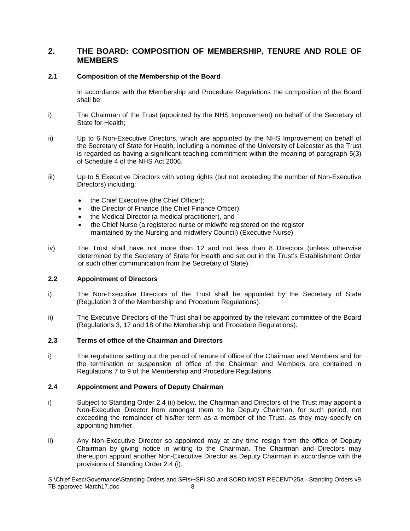# **2. THE BOARD: COMPOSITION OF MEMBERSHIP, TENURE AND ROLE OF MEMBERS**

# **2.1 Composition of the Membership of the Board**

In accordance with the Membership and Procedure Regulations the composition of the Board shall be:

- i) The Chairman of the Trust (appointed by the NHS Improvement) on behalf of the Secretary of State for Health;
- ii) Up to 6 Non-Executive Directors, which are appointed by the NHS Improvement on behalf of the Secretary of State for Health, including a nominee of the University of Leicester as the Trust is regarded as having a significant teaching commitment within the meaning of paragraph 5(3) of Schedule 4 of the NHS Act 2006.
- iii) Up to 5 Executive Directors with voting rights (but not exceeding the number of Non-Executive Directors) including:
	- the Chief Executive (the Chief Officer);
	- the Director of Finance (the Chief Finance Officer);
	- the Medical Director (a medical practitioner), and
	- the Chief Nurse (a registered nurse or midwife registered on the register maintained by the Nursing and midwifery Council) (Executive Nurse)
- iv) The Trust shall have not more than 12 and not less than 8 Directors (unless otherwise determined by the Secretary of State for Health and set out in the Trust's Establishment Order or such other communication from the Secretary of State).

# **2.2 Appointment of Directors**

- i) The Non-Executive Directors of the Trust shall be appointed by the Secretary of State (Regulation 3 of the Membership and Procedure Regulations).
- ii) The Executive Directors of the Trust shall be appointed by the relevant committee of the Board (Regulations 3, 17 and 18 of the Membership and Procedure Regulations).

# **2.3 Terms of office of the Chairman and Directors**

i) The regulations setting out the period of tenure of office of the Chairman and Members and for the termination or suspension of office of the Chairman and Members are contained in Regulations 7 to 9 of the Membership and Procedure Regulations.

# **2.4 Appointment and Powers of Deputy Chairman**

- i) Subject to Standing Order 2.4 (ii) below, the Chairman and Directors of the Trust may appoint a Non-Executive Director from amongst them to be Deputy Chairman, for such period, not exceeding the remainder of his/her term as a member of the Trust, as they may specify on appointing him/her.
- ii) Any Non-Executive Director so appointed may at any time resign from the office of Deputy Chairman by giving notice in writing to the Chairman. The Chairman and Directors may thereupon appoint another Non-Executive Director as Deputy Chairman in accordance with the provisions of Standing Order 2.4 (i).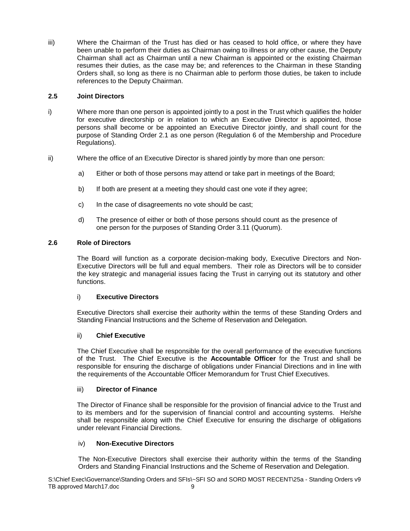iii) Where the Chairman of the Trust has died or has ceased to hold office, or where they have been unable to perform their duties as Chairman owing to illness or any other cause, the Deputy Chairman shall act as Chairman until a new Chairman is appointed or the existing Chairman resumes their duties, as the case may be; and references to the Chairman in these Standing Orders shall, so long as there is no Chairman able to perform those duties, be taken to include references to the Deputy Chairman.

# **2.5 Joint Directors**

- i) Where more than one person is appointed jointly to a post in the Trust which qualifies the holder for executive directorship or in relation to which an Executive Director is appointed, those persons shall become or be appointed an Executive Director jointly, and shall count for the purpose of Standing Order 2.1 as one person (Regulation 6 of the Membership and Procedure Regulations).
- ii) Where the office of an Executive Director is shared jointly by more than one person:
	- a) Either or both of those persons may attend or take part in meetings of the Board;
	- b) If both are present at a meeting they should cast one vote if they agree;
	- c) In the case of disagreements no vote should be cast;
	- d) The presence of either or both of those persons should count as the presence of one person for the purposes of Standing Order 3.11 (Quorum).

# **2.6 Role of Directors**

The Board will function as a corporate decision-making body, Executive Directors and Non-Executive Directors will be full and equal members. Their role as Directors will be to consider the key strategic and managerial issues facing the Trust in carrying out its statutory and other functions.

# i) **Executive Directors**

Executive Directors shall exercise their authority within the terms of these Standing Orders and Standing Financial Instructions and the Scheme of Reservation and Delegation.

# ii) **Chief Executive**

The Chief Executive shall be responsible for the overall performance of the executive functions of the Trust. The Chief Executive is the **Accountable Officer** for the Trust and shall be responsible for ensuring the discharge of obligations under Financial Directions and in line with the requirements of the Accountable Officer Memorandum for Trust Chief Executives.

# iii) **Director of Finance**

The Director of Finance shall be responsible for the provision of financial advice to the Trust and to its members and for the supervision of financial control and accounting systems. He/she shall be responsible along with the Chief Executive for ensuring the discharge of obligations under relevant Financial Directions.

# iv) **Non-Executive Directors**

The Non-Executive Directors shall exercise their authority within the terms of the Standing Orders and Standing Financial Instructions and the Scheme of Reservation and Delegation.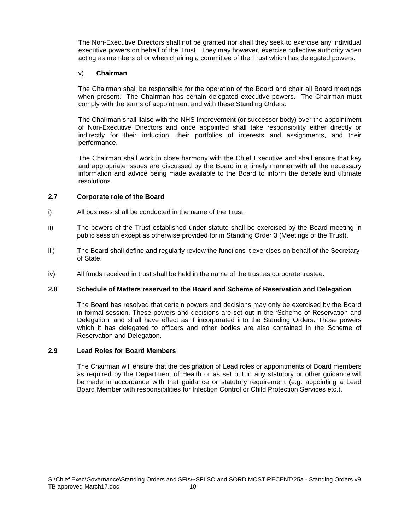The Non-Executive Directors shall not be granted nor shall they seek to exercise any individual executive powers on behalf of the Trust. They may however, exercise collective authority when acting as members of or when chairing a committee of the Trust which has delegated powers.

# v) **Chairman**

The Chairman shall be responsible for the operation of the Board and chair all Board meetings when present. The Chairman has certain delegated executive powers. The Chairman must comply with the terms of appointment and with these Standing Orders.

The Chairman shall liaise with the NHS Improvement (or successor body) over the appointment of Non-Executive Directors and once appointed shall take responsibility either directly or indirectly for their induction, their portfolios of interests and assignments, and their performance.

The Chairman shall work in close harmony with the Chief Executive and shall ensure that key and appropriate issues are discussed by the Board in a timely manner with all the necessary information and advice being made available to the Board to inform the debate and ultimate resolutions.

# **2.7 Corporate role of the Board**

- i) All business shall be conducted in the name of the Trust.
- ii) The powers of the Trust established under statute shall be exercised by the Board meeting in public session except as otherwise provided for in Standing Order 3 (Meetings of the Trust).
- iii) The Board shall define and regularly review the functions it exercises on behalf of the Secretary of State.
- iv) All funds received in trust shall be held in the name of the trust as corporate trustee.

# **2.8 Schedule of Matters reserved to the Board and Scheme of Reservation and Delegation**

The Board has resolved that certain powers and decisions may only be exercised by the Board in formal session. These powers and decisions are set out in the 'Scheme of Reservation and Delegation' and shall have effect as if incorporated into the Standing Orders. Those powers which it has delegated to officers and other bodies are also contained in the Scheme of Reservation and Delegation.

# **2.9 Lead Roles for Board Members**

The Chairman will ensure that the designation of Lead roles or appointments of Board members as required by the Department of Health or as set out in any statutory or other guidance will be made in accordance with that guidance or statutory requirement (e.g. appointing a Lead Board Member with responsibilities for Infection Control or Child Protection Services etc.).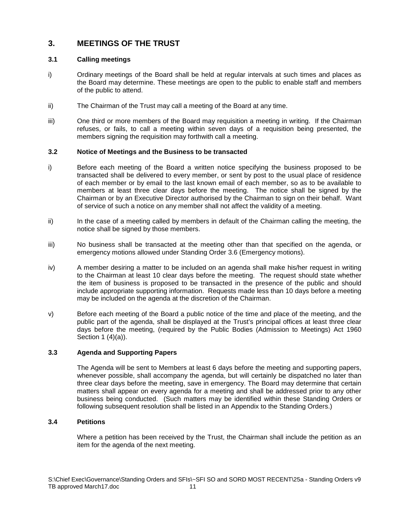# **3. MEETINGS OF THE TRUST**

# **3.1 Calling meetings**

- i) Ordinary meetings of the Board shall be held at regular intervals at such times and places as the Board may determine. These meetings are open to the public to enable staff and members of the public to attend.
- ii) The Chairman of the Trust may call a meeting of the Board at any time.
- iii) One third or more members of the Board may requisition a meeting in writing. If the Chairman refuses, or fails, to call a meeting within seven days of a requisition being presented, the members signing the requisition may forthwith call a meeting.

# **3.2 Notice of Meetings and the Business to be transacted**

- i) Before each meeting of the Board a written notice specifying the business proposed to be transacted shall be delivered to every member, or sent by post to the usual place of residence of each member or by email to the last known email of each member, so as to be available to members at least three clear days before the meeting. The notice shall be signed by the Chairman or by an Executive Director authorised by the Chairman to sign on their behalf. Want of service of such a notice on any member shall not affect the validity of a meeting.
- ii) In the case of a meeting called by members in default of the Chairman calling the meeting, the notice shall be signed by those members.
- iii) No business shall be transacted at the meeting other than that specified on the agenda, or emergency motions allowed under Standing Order 3.6 (Emergency motions).
- iv) A member desiring a matter to be included on an agenda shall make his/her request in writing to the Chairman at least 10 clear days before the meeting. The request should state whether the item of business is proposed to be transacted in the presence of the public and should include appropriate supporting information. Requests made less than 10 days before a meeting may be included on the agenda at the discretion of the Chairman.
- v) Before each meeting of the Board a public notice of the time and place of the meeting, and the public part of the agenda, shall be displayed at the Trust's principal offices at least three clear days before the meeting, (required by the Public Bodies (Admission to Meetings) Act 1960 Section 1 (4)(a)).

# **3.3 Agenda and Supporting Papers**

The Agenda will be sent to Members at least 6 days before the meeting and supporting papers, whenever possible, shall accompany the agenda, but will certainly be dispatched no later than three clear days before the meeting, save in emergency. The Board may determine that certain matters shall appear on every agenda for a meeting and shall be addressed prior to any other business being conducted. (Such matters may be identified within these Standing Orders or following subsequent resolution shall be listed in an Appendix to the Standing Orders.)

# **3.4 Petitions**

Where a petition has been received by the Trust, the Chairman shall include the petition as an item for the agenda of the next meeting.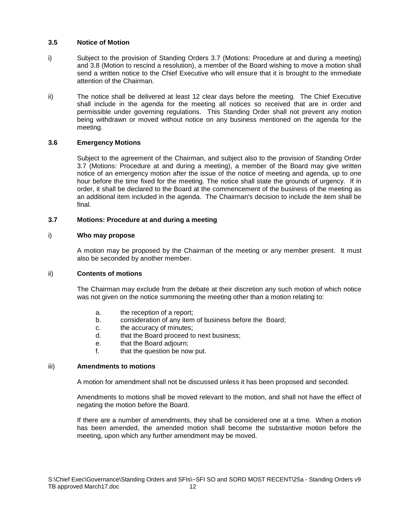# **3.5 Notice of Motion**

- i) Subject to the provision of Standing Orders 3.7 (Motions: Procedure at and during a meeting) and 3.8 (Motion to rescind a resolution), a member of the Board wishing to move a motion shall send a written notice to the Chief Executive who will ensure that it is brought to the immediate attention of the Chairman.
- ii) The notice shall be delivered at least 12 clear days before the meeting. The Chief Executive shall include in the agenda for the meeting all notices so received that are in order and permissible under governing regulations. This Standing Order shall not prevent any motion being withdrawn or moved without notice on any business mentioned on the agenda for the meeting.

# **3.6 Emergency Motions**

Subject to the agreement of the Chairman, and subject also to the provision of Standing Order 3.7 (Motions: Procedure at and during a meeting), a member of the Board may give written notice of an emergency motion after the issue of the notice of meeting and agenda, up to one hour before the time fixed for the meeting. The notice shall state the grounds of urgency. If in order, it shall be declared to the Board at the commencement of the business of the meeting as an additional item included in the agenda. The Chairman's decision to include the item shall be final.

#### **3.7 Motions: Procedure at and during a meeting**

#### i) **Who may propose**

A motion may be proposed by the Chairman of the meeting or any member present. It must also be seconded by another member.

#### ii) **Contents of motions**

The Chairman may exclude from the debate at their discretion any such motion of which notice was not given on the notice summoning the meeting other than a motion relating to:

- a. the reception of a report;
- b. consideration of any item of business before the Board;
- c. the accuracy of minutes;
- d. that the Board proceed to next business;
- e. that the Board adjourn;
- f. that the question be now put.

#### iii) **Amendments to motions**

A motion for amendment shall not be discussed unless it has been proposed and seconded.

Amendments to motions shall be moved relevant to the motion, and shall not have the effect of negating the motion before the Board.

If there are a number of amendments, they shall be considered one at a time. When a motion has been amended, the amended motion shall become the substantive motion before the meeting, upon which any further amendment may be moved.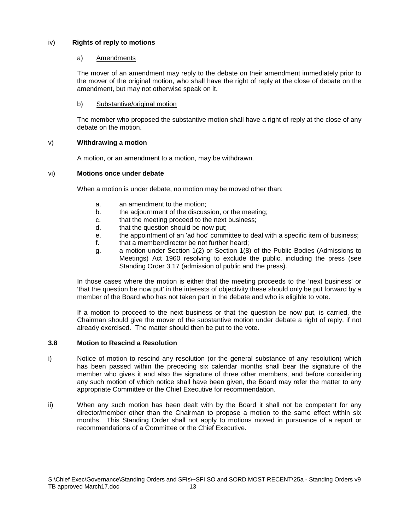# iv) **Rights of reply to motions**

# a) Amendments

The mover of an amendment may reply to the debate on their amendment immediately prior to the mover of the original motion, who shall have the right of reply at the close of debate on the amendment, but may not otherwise speak on it.

b) Substantive/original motion

The member who proposed the substantive motion shall have a right of reply at the close of any debate on the motion.

# v) **Withdrawing a motion**

A motion, or an amendment to a motion, may be withdrawn.

# vi) **Motions once under debate**

When a motion is under debate, no motion may be moved other than:

- a. an amendment to the motion;
- b. the adjournment of the discussion, or the meeting;
- c. that the meeting proceed to the next business;
- d. that the question should be now put;
- e. the appointment of an 'ad hoc' committee to deal with a specific item of business;
- f. that a member/director be not further heard:
- g. a motion under Section 1(2) or Section 1(8) of the Public Bodies (Admissions to Meetings) Act 1960 resolving to exclude the public, including the press (see Standing Order 3.17 (admission of public and the press).

In those cases where the motion is either that the meeting proceeds to the 'next business' or 'that the question be now put' in the interests of objectivity these should only be put forward by a member of the Board who has not taken part in the debate and who is eligible to vote.

If a motion to proceed to the next business or that the question be now put, is carried, the Chairman should give the mover of the substantive motion under debate a right of reply, if not already exercised. The matter should then be put to the vote.

# **3.8 Motion to Rescind a Resolution**

- i) Notice of motion to rescind any resolution (or the general substance of any resolution) which has been passed within the preceding six calendar months shall bear the signature of the member who gives it and also the signature of three other members, and before considering any such motion of which notice shall have been given, the Board may refer the matter to any appropriate Committee or the Chief Executive for recommendation.
- ii) When any such motion has been dealt with by the Board it shall not be competent for any director/member other than the Chairman to propose a motion to the same effect within six months. This Standing Order shall not apply to motions moved in pursuance of a report or recommendations of a Committee or the Chief Executive.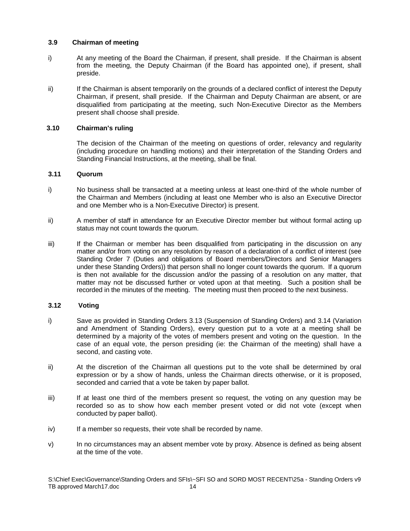# **3.9 Chairman of meeting**

- i) At any meeting of the Board the Chairman, if present, shall preside. If the Chairman is absent from the meeting, the Deputy Chairman (if the Board has appointed one), if present, shall preside.
- ii) If the Chairman is absent temporarily on the grounds of a declared conflict of interest the Deputy Chairman, if present, shall preside. If the Chairman and Deputy Chairman are absent, or are disqualified from participating at the meeting, such Non-Executive Director as the Members present shall choose shall preside.

# **3.10 Chairman's ruling**

The decision of the Chairman of the meeting on questions of order, relevancy and regularity (including procedure on handling motions) and their interpretation of the Standing Orders and Standing Financial Instructions, at the meeting, shall be final.

# **3.11 Quorum**

- i) No business shall be transacted at a meeting unless at least one-third of the whole number of the Chairman and Members (including at least one Member who is also an Executive Director and one Member who is a Non-Executive Director) is present.
- ii) A member of staff in attendance for an Executive Director member but without formal acting up status may not count towards the quorum.
- iii) If the Chairman or member has been disqualified from participating in the discussion on any matter and/or from voting on any resolution by reason of a declaration of a conflict of interest (see Standing Order 7 (Duties and obligations of Board members/Directors and Senior Managers under these Standing Orders)) that person shall no longer count towards the quorum. If a quorum is then not available for the discussion and/or the passing of a resolution on any matter, that matter may not be discussed further or voted upon at that meeting. Such a position shall be recorded in the minutes of the meeting. The meeting must then proceed to the next business.

# **3.12 Voting**

- i) Save as provided in Standing Orders 3.13 (Suspension of Standing Orders) and 3.14 (Variation and Amendment of Standing Orders), every question put to a vote at a meeting shall be determined by a majority of the votes of members present and voting on the question. In the case of an equal vote, the person presiding (ie: the Chairman of the meeting) shall have a second, and casting vote.
- ii) At the discretion of the Chairman all questions put to the vote shall be determined by oral expression or by a show of hands, unless the Chairman directs otherwise, or it is proposed, seconded and carried that a vote be taken by paper ballot.
- iii) If at least one third of the members present so request, the voting on any question may be recorded so as to show how each member present voted or did not vote (except when conducted by paper ballot).
- iv) If a member so requests, their vote shall be recorded by name.
- v) In no circumstances may an absent member vote by proxy. Absence is defined as being absent at the time of the vote.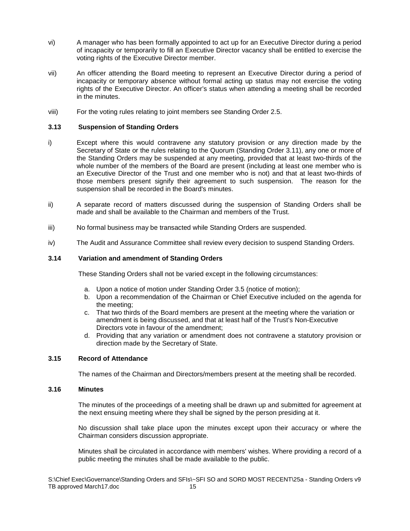- vi) A manager who has been formally appointed to act up for an Executive Director during a period of incapacity or temporarily to fill an Executive Director vacancy shall be entitled to exercise the voting rights of the Executive Director member.
- vii) An officer attending the Board meeting to represent an Executive Director during a period of incapacity or temporary absence without formal acting up status may not exercise the voting rights of the Executive Director. An officer's status when attending a meeting shall be recorded in the minutes.
- viii) For the voting rules relating to joint members see Standing Order 2.5.

# **3.13 Suspension of Standing Orders**

- i) Except where this would contravene any statutory provision or any direction made by the Secretary of State or the rules relating to the Quorum (Standing Order 3.11), any one or more of the Standing Orders may be suspended at any meeting, provided that at least two-thirds of the whole number of the members of the Board are present (including at least one member who is an Executive Director of the Trust and one member who is not) and that at least two-thirds of those members present signify their agreement to such suspension. The reason for the suspension shall be recorded in the Board's minutes.
- ii) A separate record of matters discussed during the suspension of Standing Orders shall be made and shall be available to the Chairman and members of the Trust.
- iii) No formal business may be transacted while Standing Orders are suspended.
- iv) The Audit and Assurance Committee shall review every decision to suspend Standing Orders.

#### **3.14 Variation and amendment of Standing Orders**

These Standing Orders shall not be varied except in the following circumstances:

- a. Upon a notice of motion under Standing Order 3.5 (notice of motion);
- b. Upon a recommendation of the Chairman or Chief Executive included on the agenda for the meeting;
- c. That two thirds of the Board members are present at the meeting where the variation or amendment is being discussed, and that at least half of the Trust's Non-Executive Directors vote in favour of the amendment;
- d. Providing that any variation or amendment does not contravene a statutory provision or direction made by the Secretary of State.

# **3.15 Record of Attendance**

The names of the Chairman and Directors/members present at the meeting shall be recorded.

#### **3.16 Minutes**

The minutes of the proceedings of a meeting shall be drawn up and submitted for agreement at the next ensuing meeting where they shall be signed by the person presiding at it.

No discussion shall take place upon the minutes except upon their accuracy or where the Chairman considers discussion appropriate.

Minutes shall be circulated in accordance with members' wishes. Where providing a record of a public meeting the minutes shall be made available to the public.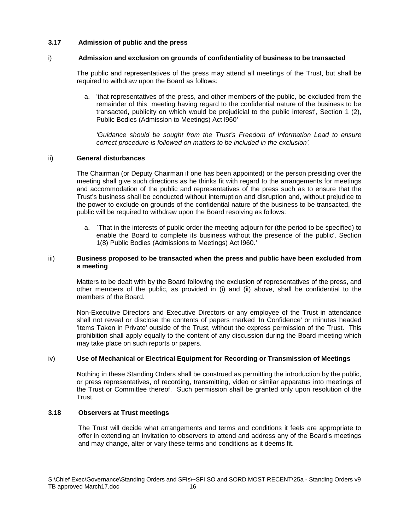# **3.17 Admission of public and the press**

# i) **Admission and exclusion on grounds of confidentiality of business to be transacted**

The public and representatives of the press may attend all meetings of the Trust, but shall be required to withdraw upon the Board as follows:

a. 'that representatives of the press, and other members of the public, be excluded from the remainder of this meeting having regard to the confidential nature of the business to be transacted, publicity on which would be prejudicial to the public interest', Section 1 (2), Public Bodies (Admission to Meetings) Act l960'

*'Guidance should be sought from the Trust's Freedom of Information Lead to ensure correct procedure is followed on matters to be included in the exclusion'.*

# ii) **General disturbances**

The Chairman (or Deputy Chairman if one has been appointed) or the person presiding over the meeting shall give such directions as he thinks fit with regard to the arrangements for meetings and accommodation of the public and representatives of the press such as to ensure that the Trust's business shall be conducted without interruption and disruption and, without prejudice to the power to exclude on grounds of the confidential nature of the business to be transacted, the public will be required to withdraw upon the Board resolving as follows:

a. `That in the interests of public order the meeting adjourn for (the period to be specified) to enable the Board to complete its business without the presence of the public'. Section 1(8) Public Bodies (Admissions to Meetings) Act l960.'

# iii) **Business proposed to be transacted when the press and public have been excluded from a meeting**

Matters to be dealt with by the Board following the exclusion of representatives of the press, and other members of the public, as provided in (i) and (ii) above, shall be confidential to the members of the Board.

Non-Executive Directors and Executive Directors or any employee of the Trust in attendance shall not reveal or disclose the contents of papers marked 'In Confidence' or minutes headed 'Items Taken in Private' outside of the Trust, without the express permission of the Trust. This prohibition shall apply equally to the content of any discussion during the Board meeting which may take place on such reports or papers.

# iv) **Use of Mechanical or Electrical Equipment for Recording or Transmission of Meetings**

Nothing in these Standing Orders shall be construed as permitting the introduction by the public, or press representatives, of recording, transmitting, video or similar apparatus into meetings of the Trust or Committee thereof. Such permission shall be granted only upon resolution of the Trust.

# **3.18 Observers at Trust meetings**

The Trust will decide what arrangements and terms and conditions it feels are appropriate to offer in extending an invitation to observers to attend and address any of the Board's meetings and may change, alter or vary these terms and conditions as it deems fit.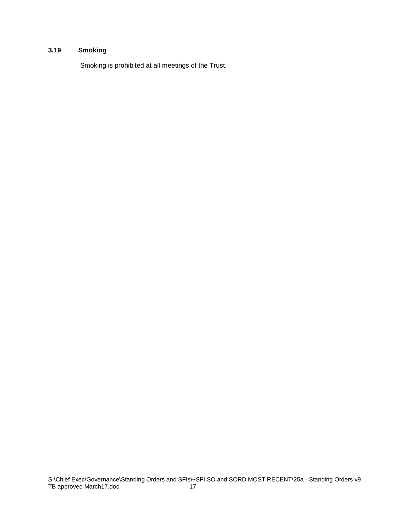# **3.19 Smoking**

Smoking is prohibited at all meetings of the Trust.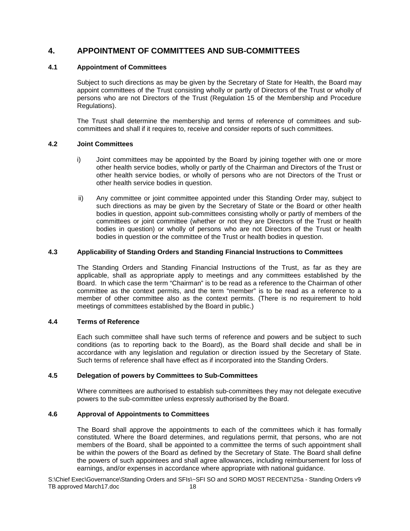# **4. APPOINTMENT OF COMMITTEES AND SUB-COMMITTEES**

# **4.1 Appointment of Committees**

Subject to such directions as may be given by the Secretary of State for Health, the Board may appoint committees of the Trust consisting wholly or partly of Directors of the Trust or wholly of persons who are not Directors of the Trust (Regulation 15 of the Membership and Procedure Regulations).

The Trust shall determine the membership and terms of reference of committees and subcommittees and shall if it requires to, receive and consider reports of such committees.

# **4.2 Joint Committees**

- i) Joint committees may be appointed by the Board by joining together with one or more other health service bodies, wholly or partly of the Chairman and Directors of the Trust or other health service bodies, or wholly of persons who are not Directors of the Trust or other health service bodies in question.
- ii) Any committee or joint committee appointed under this Standing Order may, subject to such directions as may be given by the Secretary of State or the Board or other health bodies in question, appoint sub-committees consisting wholly or partly of members of the committees or joint committee (whether or not they are Directors of the Trust or health bodies in question) or wholly of persons who are not Directors of the Trust or health bodies in question or the committee of the Trust or health bodies in question.

# **4.3 Applicability of Standing Orders and Standing Financial Instructions to Committees**

The Standing Orders and Standing Financial Instructions of the Trust, as far as they are applicable, shall as appropriate apply to meetings and any committees established by the Board. In which case the term "Chairman" is to be read as a reference to the Chairman of other committee as the context permits, and the term "member" is to be read as a reference to a member of other committee also as the context permits. (There is no requirement to hold meetings of committees established by the Board in public.)

# **4.4 Terms of Reference**

Each such committee shall have such terms of reference and powers and be subject to such conditions (as to reporting back to the Board), as the Board shall decide and shall be in accordance with any legislation and regulation or direction issued by the Secretary of State. Such terms of reference shall have effect as if incorporated into the Standing Orders.

# **4.5 Delegation of powers by Committees to Sub-Committees**

Where committees are authorised to establish sub-committees they may not delegate executive powers to the sub-committee unless expressly authorised by the Board.

# **4.6 Approval of Appointments to Committees**

The Board shall approve the appointments to each of the committees which it has formally constituted. Where the Board determines, and regulations permit, that persons, who are not members of the Board, shall be appointed to a committee the terms of such appointment shall be within the powers of the Board as defined by the Secretary of State. The Board shall define the powers of such appointees and shall agree allowances, including reimbursement for loss of earnings, and/or expenses in accordance where appropriate with national guidance.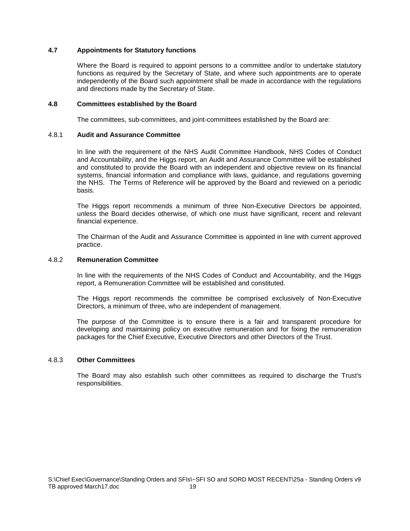# **4.7 Appointments for Statutory functions**

Where the Board is required to appoint persons to a committee and/or to undertake statutory functions as required by the Secretary of State, and where such appointments are to operate independently of the Board such appointment shall be made in accordance with the regulations and directions made by the Secretary of State.

#### **4.8 Committees established by the Board**

The committees, sub-committees, and joint-committees established by the Board are:

#### 4.8.1 **Audit and Assurance Committee**

In line with the requirement of the NHS Audit Committee Handbook, NHS Codes of Conduct and Accountability, and the Higgs report, an Audit and Assurance Committee will be established and constituted to provide the Board with an independent and objective review on its financial systems, financial information and compliance with laws, guidance, and regulations governing the NHS. The Terms of Reference will be approved by the Board and reviewed on a periodic basis.

The Higgs report recommends a minimum of three Non-Executive Directors be appointed, unless the Board decides otherwise, of which one must have significant, recent and relevant financial experience.

The Chairman of the Audit and Assurance Committee is appointed in line with current approved practice.

# 4.8.2 **Remuneration Committee**

In line with the requirements of the NHS Codes of Conduct and Accountability, and the Higgs report, a Remuneration Committee will be established and constituted.

The Higgs report recommends the committee be comprised exclusively of Non-Executive Directors, a minimum of three, who are independent of management.

The purpose of the Committee is to ensure there is a fair and transparent procedure for developing and maintaining policy on executive remuneration and for fixing the remuneration packages for the Chief Executive, Executive Directors and other Directors of the Trust.

#### 4.8.3 **Other Committees**

The Board may also establish such other committees as required to discharge the Trust's responsibilities.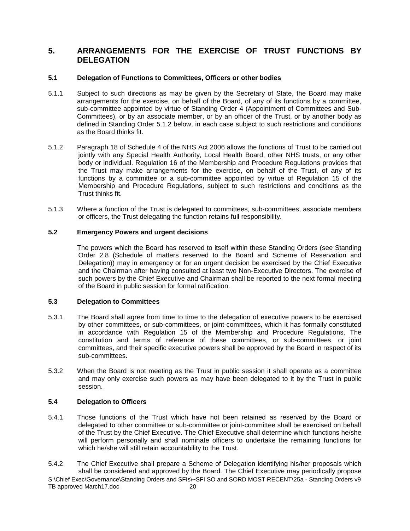# **5. ARRANGEMENTS FOR THE EXERCISE OF TRUST FUNCTIONS BY DELEGATION**

# **5.1 Delegation of Functions to Committees, Officers or other bodies**

- 5.1.1 Subject to such directions as may be given by the Secretary of State, the Board may make arrangements for the exercise, on behalf of the Board, of any of its functions by a committee, sub-committee appointed by virtue of Standing Order 4 (Appointment of Committees and Sub-Committees), or by an associate member, or by an officer of the Trust, or by another body as defined in Standing Order 5.1.2 below, in each case subject to such restrictions and conditions as the Board thinks fit.
- 5.1.2 Paragraph 18 of Schedule 4 of the NHS Act 2006 allows the functions of Trust to be carried out jointly with any Special Health Authority, Local Health Board, other NHS trusts, or any other body or individual. Regulation 16 of the Membership and Procedure Regulations provides that the Trust may make arrangements for the exercise, on behalf of the Trust, of any of its functions by a committee or a sub-committee appointed by virtue of Regulation 15 of the Membership and Procedure Regulations, subject to such restrictions and conditions as the Trust thinks fit.
- 5.1.3 Where a function of the Trust is delegated to committees, sub-committees, associate members or officers, the Trust delegating the function retains full responsibility.

# **5.2 Emergency Powers and urgent decisions**

The powers which the Board has reserved to itself within these Standing Orders (see Standing Order 2.8 (Schedule of matters reserved to the Board and Scheme of Reservation and Delegation)) may in emergency or for an urgent decision be exercised by the Chief Executive and the Chairman after having consulted at least two Non-Executive Directors. The exercise of such powers by the Chief Executive and Chairman shall be reported to the next formal meeting of the Board in public session for formal ratification.

# **5.3 Delegation to Committees**

- 5.3.1 The Board shall agree from time to time to the delegation of executive powers to be exercised by other committees, or sub-committees, or joint-committees, which it has formally constituted in accordance with Regulation 15 of the Membership and Procedure Regulations. The constitution and terms of reference of these committees, or sub-committees, or joint committees, and their specific executive powers shall be approved by the Board in respect of its sub-committees.
- 5.3.2 When the Board is not meeting as the Trust in public session it shall operate as a committee and may only exercise such powers as may have been delegated to it by the Trust in public session.

# **5.4 Delegation to Officers**

- 5.4.1 Those functions of the Trust which have not been retained as reserved by the Board or delegated to other committee or sub-committee or joint-committee shall be exercised on behalf of the Trust by the Chief Executive. The Chief Executive shall determine which functions he/she will perform personally and shall nominate officers to undertake the remaining functions for which he/she will still retain accountability to the Trust.
- S:\Chief Exec\Governance\Standing Orders and SFIs\~SFI SO and SORD MOST RECENT\25a Standing Orders v9 TB approved March17.doc 20 5.4.2 The Chief Executive shall prepare a Scheme of Delegation identifying his/her proposals which shall be considered and approved by the Board. The Chief Executive may periodically propose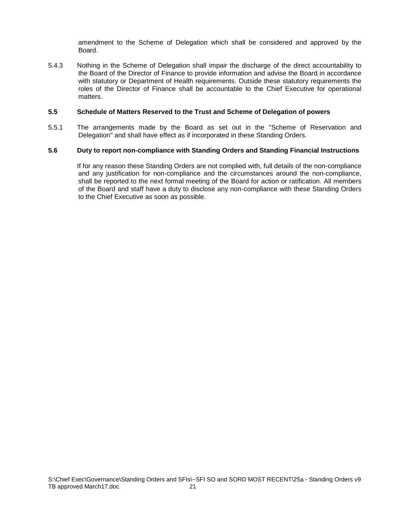amendment to the Scheme of Delegation which shall be considered and approved by the Board.

5.4.3 Nothing in the Scheme of Delegation shall impair the discharge of the direct accountability to the Board of the Director of Finance to provide information and advise the Board in accordance with statutory or Department of Health requirements. Outside these statutory requirements the roles of the Director of Finance shall be accountable to the Chief Executive for operational matters.

#### **5.5 Schedule of Matters Reserved to the Trust and Scheme of Delegation of powers**

5.5.1 The arrangements made by the Board as set out in the "Scheme of Reservation and Delegation" and shall have effect as if incorporated in these Standing Orders.

# **5.6 Duty to report non-compliance with Standing Orders and Standing Financial Instructions**

If for any reason these Standing Orders are not complied with, full details of the non-compliance and any justification for non-compliance and the circumstances around the non-compliance, shall be reported to the next formal meeting of the Board for action or ratification. All members of the Board and staff have a duty to disclose any non-compliance with these Standing Orders to the Chief Executive as soon as possible.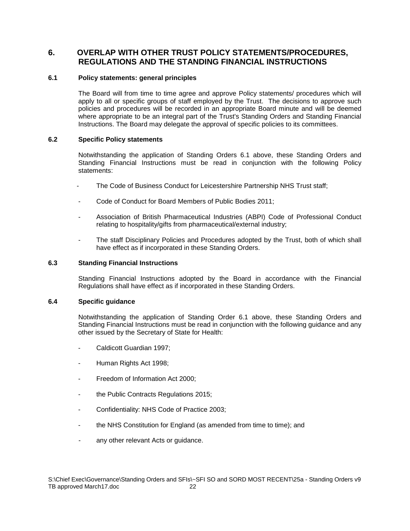# **6. OVERLAP WITH OTHER TRUST POLICY STATEMENTS/PROCEDURES, REGULATIONS AND THE STANDING FINANCIAL INSTRUCTIONS**

# **6.1 Policy statements: general principles**

The Board will from time to time agree and approve Policy statements/ procedures which will apply to all or specific groups of staff employed by the Trust. The decisions to approve such policies and procedures will be recorded in an appropriate Board minute and will be deemed where appropriate to be an integral part of the Trust's Standing Orders and Standing Financial Instructions. The Board may delegate the approval of specific policies to its committees.

# **6.2 Specific Policy statements**

Notwithstanding the application of Standing Orders 6.1 above, these Standing Orders and Standing Financial Instructions must be read in conjunction with the following Policy statements:

- The Code of Business Conduct for Leicestershire Partnership NHS Trust staff;
- Code of Conduct for Board Members of Public Bodies 2011;
- Association of British Pharmaceutical Industries (ABPI) Code of Professional Conduct relating to hospitality/gifts from pharmaceutical/external industry;
- The staff Disciplinary Policies and Procedures adopted by the Trust, both of which shall have effect as if incorporated in these Standing Orders.

# **6.3 Standing Financial Instructions**

Standing Financial Instructions adopted by the Board in accordance with the Financial Regulations shall have effect as if incorporated in these Standing Orders.

# **6.4 Specific guidance**

Notwithstanding the application of Standing Order 6.1 above, these Standing Orders and Standing Financial Instructions must be read in conjunction with the following guidance and any other issued by the Secretary of State for Health:

- Caldicott Guardian 1997;
- Human Rights Act 1998;
- Freedom of Information Act 2000;
- the Public Contracts Regulations 2015;
- Confidentiality: NHS Code of Practice 2003;
- the NHS Constitution for England (as amended from time to time); and
- any other relevant Acts or guidance.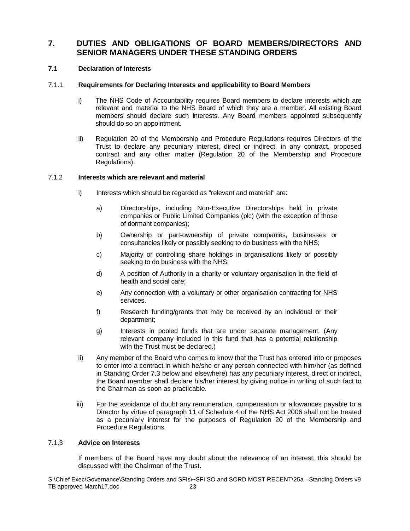# **7. DUTIES AND OBLIGATIONS OF BOARD MEMBERS/DIRECTORS AND SENIOR MANAGERS UNDER THESE STANDING ORDERS**

# **7.1 Declaration of Interests**

# 7.1.1 **Requirements for Declaring Interests and applicability to Board Members**

- i) The NHS Code of Accountability requires Board members to declare interests which are relevant and material to the NHS Board of which they are a member. All existing Board members should declare such interests. Any Board members appointed subsequently should do so on appointment.
- ii) Regulation 20 of the Membership and Procedure Regulations requires Directors of the Trust to declare any pecuniary interest, direct or indirect, in any contract, proposed contract and any other matter (Regulation 20 of the Membership and Procedure Regulations).

# 7.1.2 **Interests which are relevant and material**

- i) Interests which should be regarded as "relevant and material" are:
	- a) Directorships, including Non-Executive Directorships held in private companies or Public Limited Companies (plc) (with the exception of those of dormant companies);
	- b) Ownership or part-ownership of private companies, businesses or consultancies likely or possibly seeking to do business with the NHS;
	- c) Majority or controlling share holdings in organisations likely or possibly seeking to do business with the NHS;
	- d) A position of Authority in a charity or voluntary organisation in the field of health and social care;
	- e) Any connection with a voluntary or other organisation contracting for NHS services.
	- f) Research funding/grants that may be received by an individual or their department;
	- g) Interests in pooled funds that are under separate management. (Any relevant company included in this fund that has a potential relationship with the Trust must be declared.)
- ii) Any member of the Board who comes to know that the Trust has entered into or proposes to enter into a contract in which he/she or any person connected with him/her (as defined in Standing Order 7.3 below and elsewhere) has any pecuniary interest, direct or indirect, the Board member shall declare his/her interest by giving notice in writing of such fact to the Chairman as soon as practicable.
- iii) For the avoidance of doubt any remuneration, compensation or allowances payable to a Director by virtue of paragraph 11 of Schedule 4 of the NHS Act 2006 shall not be treated as a pecuniary interest for the purposes of Regulation 20 of the Membership and Procedure Regulations.

# 7.1.3 **Advice on Interests**

If members of the Board have any doubt about the relevance of an interest, this should be discussed with the Chairman of the Trust.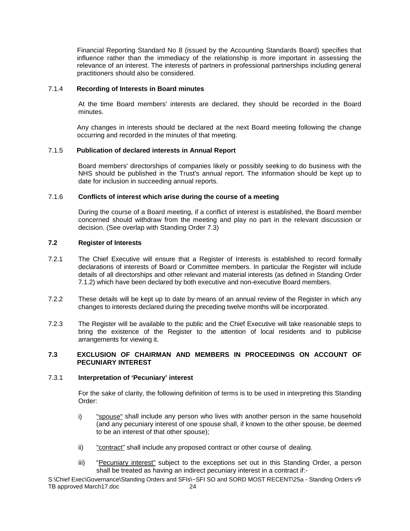Financial Reporting Standard No 8 (issued by the Accounting Standards Board) specifies that influence rather than the immediacy of the relationship is more important in assessing the relevance of an interest. The interests of partners in professional partnerships including general practitioners should also be considered.

# 7.1.4 **Recording of Interests in Board minutes**

At the time Board members' interests are declared, they should be recorded in the Board minutes.

Any changes in interests should be declared at the next Board meeting following the change occurring and recorded in the minutes of that meeting.

# 7.1.5 **Publication of declared interests in Annual Report**

Board members' directorships of companies likely or possibly seeking to do business with the NHS should be published in the Trust's annual report. The information should be kept up to date for inclusion in succeeding annual reports.

# 7.1.6 **Conflicts of interest which arise during the course of a meeting**

During the course of a Board meeting, if a conflict of interest is established, the Board member concerned should withdraw from the meeting and play no part in the relevant discussion or decision. (See overlap with Standing Order 7.3)

# **7.2 Register of Interests**

- 7.2.1 The Chief Executive will ensure that a Register of Interests is established to record formally declarations of interests of Board or Committee members. In particular the Register will include details of all directorships and other relevant and material interests (as defined in Standing Order 7.1.2) which have been declared by both executive and non-executive Board members.
- 7.2.2 These details will be kept up to date by means of an annual review of the Register in which any changes to interests declared during the preceding twelve months will be incorporated.
- 7.2.3 The Register will be available to the public and the Chief Executive will take reasonable steps to bring the existence of the Register to the attention of local residents and to publicise arrangements for viewing it.

# **7.3 EXCLUSION OF CHAIRMAN AND MEMBERS IN PROCEEDINGS ON ACCOUNT OF PECUNIARY INTEREST**

# 7.3.1 **Interpretation of 'Pecuniary' interest**

For the sake of clarity, the following definition of terms is to be used in interpreting this Standing Order:

- i) "spouse" shall include any person who lives with another person in the same household (and any pecuniary interest of one spouse shall, if known to the other spouse, be deemed to be an interest of that other spouse);
- ii) "contract" shall include any proposed contract or other course of dealing.
- iii) "Pecuniary interest" subject to the exceptions set out in this Standing Order, a person shall be treated as having an indirect pecuniary interest in a contract if:-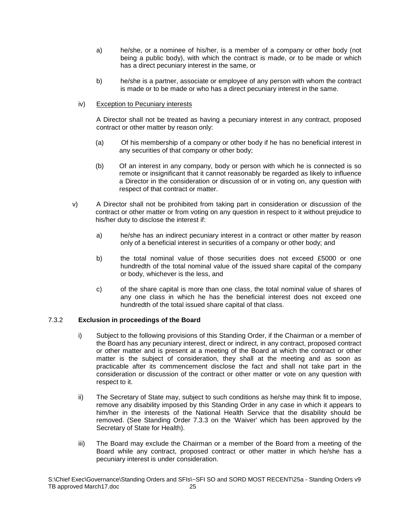- a) he/she, or a nominee of his/her, is a member of a company or other body (not being a public body), with which the contract is made, or to be made or which has a direct pecuniary interest in the same, or
- b) he/she is a partner, associate or employee of any person with whom the contract is made or to be made or who has a direct pecuniary interest in the same.
- iv) Exception to Pecuniary interests

A Director shall not be treated as having a pecuniary interest in any contract, proposed contract or other matter by reason only:

- (a) Of his membership of a company or other body if he has no beneficial interest in any securities of that company or other body;
- (b) Of an interest in any company, body or person with which he is connected is so remote or insignificant that it cannot reasonably be regarded as likely to influence a Director in the consideration or discussion of or in voting on, any question with respect of that contract or matter.
- v) A Director shall not be prohibited from taking part in consideration or discussion of the contract or other matter or from voting on any question in respect to it without prejudice to his/her duty to disclose the interest if:
	- a) he/she has an indirect pecuniary interest in a contract or other matter by reason only of a beneficial interest in securities of a company or other body; and
	- b) the total nominal value of those securities does not exceed £5000 or one hundredth of the total nominal value of the issued share capital of the company or body, whichever is the less, and
	- c) of the share capital is more than one class, the total nominal value of shares of any one class in which he has the beneficial interest does not exceed one hundredth of the total issued share capital of that class.

# 7.3.2 **Exclusion in proceedings of the Board**

- i) Subject to the following provisions of this Standing Order, if the Chairman or a member of the Board has any pecuniary interest, direct or indirect, in any contract, proposed contract or other matter and is present at a meeting of the Board at which the contract or other matter is the subject of consideration, they shall at the meeting and as soon as practicable after its commencement disclose the fact and shall not take part in the consideration or discussion of the contract or other matter or vote on any question with respect to it.
- ii) The Secretary of State may, subject to such conditions as he/she may think fit to impose, remove any disability imposed by this Standing Order in any case in which it appears to him/her in the interests of the National Health Service that the disability should be removed. (See Standing Order 7.3.3 on the 'Waiver' which has been approved by the Secretary of State for Health).
- iii) The Board may exclude the Chairman or a member of the Board from a meeting of the Board while any contract, proposed contract or other matter in which he/she has a pecuniary interest is under consideration.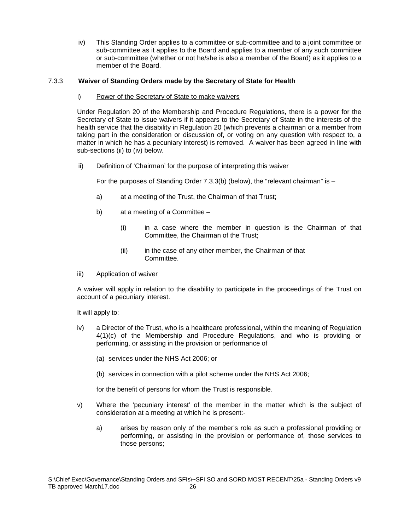iv) This Standing Order applies to a committee or sub-committee and to a joint committee or sub-committee as it applies to the Board and applies to a member of any such committee or sub-committee (whether or not he/she is also a member of the Board) as it applies to a member of the Board.

# 7.3.3 **Waiver of Standing Orders made by the Secretary of State for Health**

i) Power of the Secretary of State to make waivers

Under Regulation 20 of the Membership and Procedure Regulations, there is a power for the Secretary of State to issue waivers if it appears to the Secretary of State in the interests of the health service that the disability in Regulation 20 (which prevents a chairman or a member from taking part in the consideration or discussion of, or voting on any question with respect to, a matter in which he has a pecuniary interest) is removed. A waiver has been agreed in line with sub-sections (ii) to (iv) below.

ii) Definition of 'Chairman' for the purpose of interpreting this waiver

For the purposes of Standing Order  $7.3.3(b)$  (below), the "relevant chairman" is  $-$ 

- a) at a meeting of the Trust, the Chairman of that Trust;
- b) at a meeting of a Committee
	- (i) in a case where the member in question is the Chairman of that Committee, the Chairman of the Trust;
	- (ii) in the case of any other member, the Chairman of that Committee.
- iii) Application of waiver

A waiver will apply in relation to the disability to participate in the proceedings of the Trust on account of a pecuniary interest.

It will apply to:

- iv) a Director of the Trust, who is a healthcare professional, within the meaning of Regulation 4(1)(c) of the Membership and Procedure Regulations, and who is providing or performing, or assisting in the provision or performance of
	- (a) services under the NHS Act 2006; or
	- (b) services in connection with a pilot scheme under the NHS Act 2006;

for the benefit of persons for whom the Trust is responsible.

- v) Where the 'pecuniary interest' of the member in the matter which is the subject of consideration at a meeting at which he is present:
	- a) arises by reason only of the member's role as such a professional providing or performing, or assisting in the provision or performance of, those services to those persons;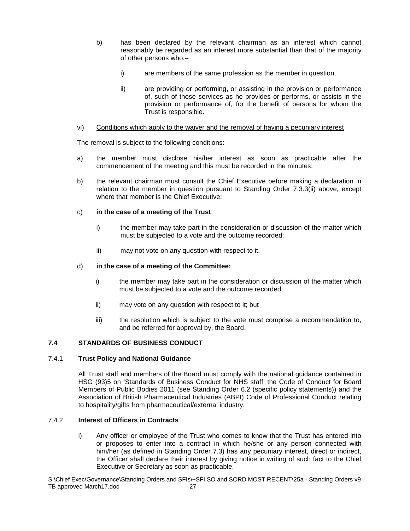- b) has been declared by the relevant chairman as an interest which cannot reasonably be regarded as an interest more substantial than that of the majority of other persons who:–
	- i) are members of the same profession as the member in question,
	- ii) are providing or performing, or assisting in the provision or performance of, such of those services as he provides or performs, or assists in the provision or performance of, for the benefit of persons for whom the Trust is responsible.

# vi) Conditions which apply to the waiver and the removal of having a pecuniary interest

The removal is subject to the following conditions:

- a) the member must disclose his/her interest as soon as practicable after the commencement of the meeting and this must be recorded in the minutes;
- b) the relevant chairman must consult the Chief Executive before making a declaration in relation to the member in question pursuant to Standing Order 7.3.3(ii) above, except where that member is the Chief Executive;

# c) **in the case of a meeting of the Trust**:

- i) the member may take part in the consideration or discussion of the matter which must be subjected to a vote and the outcome recorded;
- ii) may not vote on any question with respect to it.

# d) **in the case of a meeting of the Committee:**

- i) the member may take part in the consideration or discussion of the matter which must be subjected to a vote and the outcome recorded;
- ii) may vote on any question with respect to it; but
- iii) the resolution which is subject to the vote must comprise a recommendation to, and be referred for approval by, the Board.

# **7.4 STANDARDS OF BUSINESS CONDUCT**

# 7.4.1 **Trust Policy and National Guidance**

All Trust staff and members of the Board must comply with the national guidance contained in HSG (93)5 on 'Standards of Business Conduct for NHS staff' the Code of Conduct for Board Members of Public Bodies 2011 (see Standing Order 6.2 (specific policy statements)) and the Association of British Pharmaceutical Industries (ABPI) Code of Professional Conduct relating to hospitality/gifts from pharmaceutical/external industry.

# 7.4.2 **Interest of Officers in Contracts**

i) Any officer or employee of the Trust who comes to know that the Trust has entered into or proposes to enter into a contract in which he/she or any person connected with him/her (as defined in Standing Order 7.3) has any pecuniary interest, direct or indirect, the Officer shall declare their interest by giving notice in writing of such fact to the Chief Executive or Secretary as soon as practicable.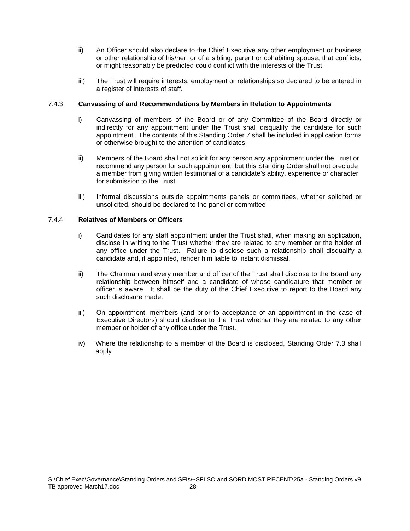- ii) An Officer should also declare to the Chief Executive any other employment or business or other relationship of his/her, or of a sibling, parent or cohabiting spouse, that conflicts, or might reasonably be predicted could conflict with the interests of the Trust.
- iii) The Trust will require interests, employment or relationships so declared to be entered in a register of interests of staff.

# 7.4.3 **Canvassing of and Recommendations by Members in Relation to Appointments**

- i) Canvassing of members of the Board or of any Committee of the Board directly or indirectly for any appointment under the Trust shall disqualify the candidate for such appointment. The contents of this Standing Order 7 shall be included in application forms or otherwise brought to the attention of candidates.
- ii) Members of the Board shall not solicit for any person any appointment under the Trust or recommend any person for such appointment; but this Standing Order shall not preclude a member from giving written testimonial of a candidate's ability, experience or character for submission to the Trust.
- iii) Informal discussions outside appointments panels or committees, whether solicited or unsolicited, should be declared to the panel or committee

# 7.4.4 **Relatives of Members or Officers**

- i) Candidates for any staff appointment under the Trust shall, when making an application, disclose in writing to the Trust whether they are related to any member or the holder of any office under the Trust. Failure to disclose such a relationship shall disqualify a candidate and, if appointed, render him liable to instant dismissal.
- ii) The Chairman and every member and officer of the Trust shall disclose to the Board any relationship between himself and a candidate of whose candidature that member or officer is aware. It shall be the duty of the Chief Executive to report to the Board any such disclosure made.
- iii) On appointment, members (and prior to acceptance of an appointment in the case of Executive Directors) should disclose to the Trust whether they are related to any other member or holder of any office under the Trust.
- iv) Where the relationship to a member of the Board is disclosed, Standing Order 7.3 shall apply.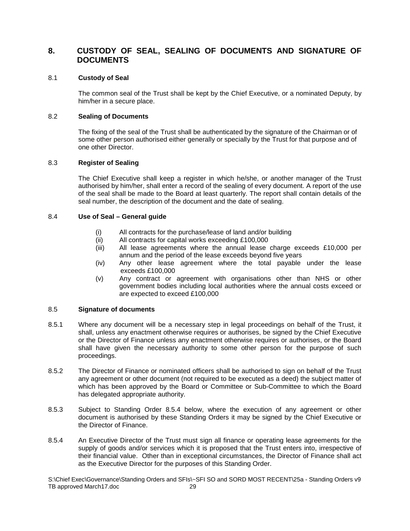# **8. CUSTODY OF SEAL, SEALING OF DOCUMENTS AND SIGNATURE OF DOCUMENTS**

#### 8.1 **Custody of Seal**

The common seal of the Trust shall be kept by the Chief Executive, or a nominated Deputy, by him/her in a secure place.

# 8.2 **Sealing of Documents**

The fixing of the seal of the Trust shall be authenticated by the signature of the Chairman or of some other person authorised either generally or specially by the Trust for that purpose and of one other Director.

# 8.3 **Register of Sealing**

The Chief Executive shall keep a register in which he/she, or another manager of the Trust authorised by him/her, shall enter a record of the sealing of every document. A report of the use of the seal shall be made to the Board at least quarterly. The report shall contain details of the seal number, the description of the document and the date of sealing.

#### 8.4 **Use of Seal – General guide**

- (i) All contracts for the purchase/lease of land and/or building
- (ii) All contracts for capital works exceeding £100,000
- (iii) All lease agreements where the annual lease charge exceeds £10,000 per annum and the period of the lease exceeds beyond five years
- (iv) Any other lease agreement where the total payable under the lease exceeds £100,000
- (v) Any contract or agreement with organisations other than NHS or other government bodies including local authorities where the annual costs exceed or are expected to exceed £100,000

#### 8.5 **Signature of documents**

- 8.5.1 Where any document will be a necessary step in legal proceedings on behalf of the Trust, it shall, unless any enactment otherwise requires or authorises, be signed by the Chief Executive or the Director of Finance unless any enactment otherwise requires or authorises, or the Board shall have given the necessary authority to some other person for the purpose of such proceedings.
- 8.5.2 The Director of Finance or nominated officers shall be authorised to sign on behalf of the Trust any agreement or other document (not required to be executed as a deed) the subject matter of which has been approved by the Board or Committee or Sub-Committee to which the Board has delegated appropriate authority.
- 8.5.3 Subject to Standing Order 8.5.4 below, where the execution of any agreement or other document is authorised by these Standing Orders it may be signed by the Chief Executive or the Director of Finance.
- 8.5.4 An Executive Director of the Trust must sign all finance or operating lease agreements for the supply of goods and/or services which it is proposed that the Trust enters into, irrespective of their financial value. Other than in exceptional circumstances, the Director of Finance shall act as the Executive Director for the purposes of this Standing Order.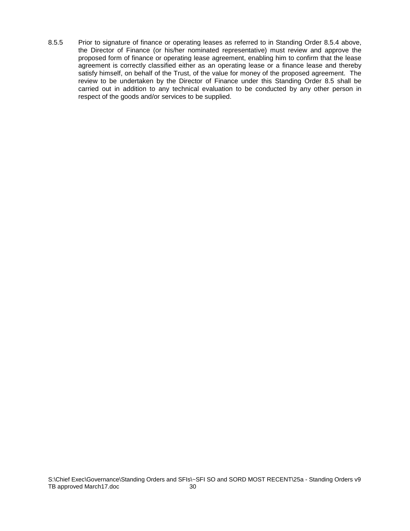8.5.5 Prior to signature of finance or operating leases as referred to in Standing Order 8.5.4 above, the Director of Finance (or his/her nominated representative) must review and approve the proposed form of finance or operating lease agreement, enabling him to confirm that the lease agreement is correctly classified either as an operating lease or a finance lease and thereby satisfy himself, on behalf of the Trust, of the value for money of the proposed agreement. The review to be undertaken by the Director of Finance under this Standing Order 8.5 shall be carried out in addition to any technical evaluation to be conducted by any other person in respect of the goods and/or services to be supplied.